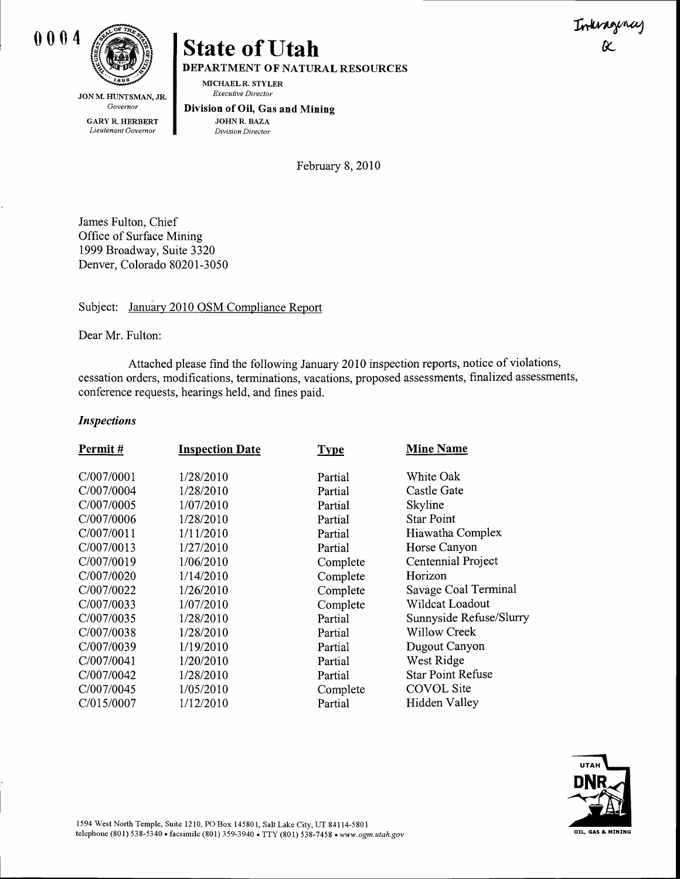

JON M. HUNTSMAN, JR. Governor

GARY R. HERBERT Lieutenant Govemor

# State of Utah  $\alpha$ DEPARTMENT OF NATURAL RESOURCES

MICHAELR. STYLER Executive Director

Division of Oil, Gas and Mining JOHNR. BAZA

Division Director

February 8, 2010

James Fulton, Chief Office of Surface Mining 1999 Broadway, Suite 3320 Denver, Colorado 80201-3050

## Subject: January 2010 OSM Compliance Report

Dear Mr. Fulton:

Attached please find the following January 2010 inspection reports, notice of violations, cessation orders, modifications, terminations, vacations, proposed assessments, finalized assessments, conference requests, hearings held, and fines paid.

#### Inspections

| Permit#    | <b>Inspection Date</b> | <b>Type</b> | <b>Mine Name</b>         |
|------------|------------------------|-------------|--------------------------|
| C/007/0001 | 1/28/2010              | Partial     | White Oak                |
| C/007/0004 | 1/28/2010              | Partial     | Castle Gate              |
| C/007/0005 | 1/07/2010              | Partial     | Skyline                  |
| C/007/0006 | 1/28/2010              | Partial     | <b>Star Point</b>        |
| C/007/0011 | 1/11/2010              | Partial     | Hiawatha Complex         |
| C/007/0013 | 1/27/2010              | Partial     | Horse Canyon             |
| C/007/0019 | 1/06/2010              | Complete    | Centennial Project       |
| C/007/0020 | 1/14/2010              | Complete    | Horizon                  |
| C/007/0022 | 1/26/2010              | Complete    | Savage Coal Terminal     |
| C/007/0033 | 1/07/2010              | Complete    | Wildcat Loadout          |
| C/007/0035 | 1/28/2010              | Partial     | Sunnyside Refuse/Slurry  |
| C/007/0038 | 1/28/2010              | Partial     | <b>Willow Creek</b>      |
| C/007/0039 | 1/19/2010              | Partial     | Dugout Canyon            |
| C/007/0041 | 1/20/2010              | Partial     | West Ridge               |
| C/007/0042 | 1/28/2010              | Partial     | <b>Star Point Refuse</b> |
| C/007/0045 | 1/05/2010              | Complete    | <b>COVOL</b> Site        |
| C/015/0007 | 1/12/2010              | Partial     | Hidden Valley            |
|            |                        |             |                          |